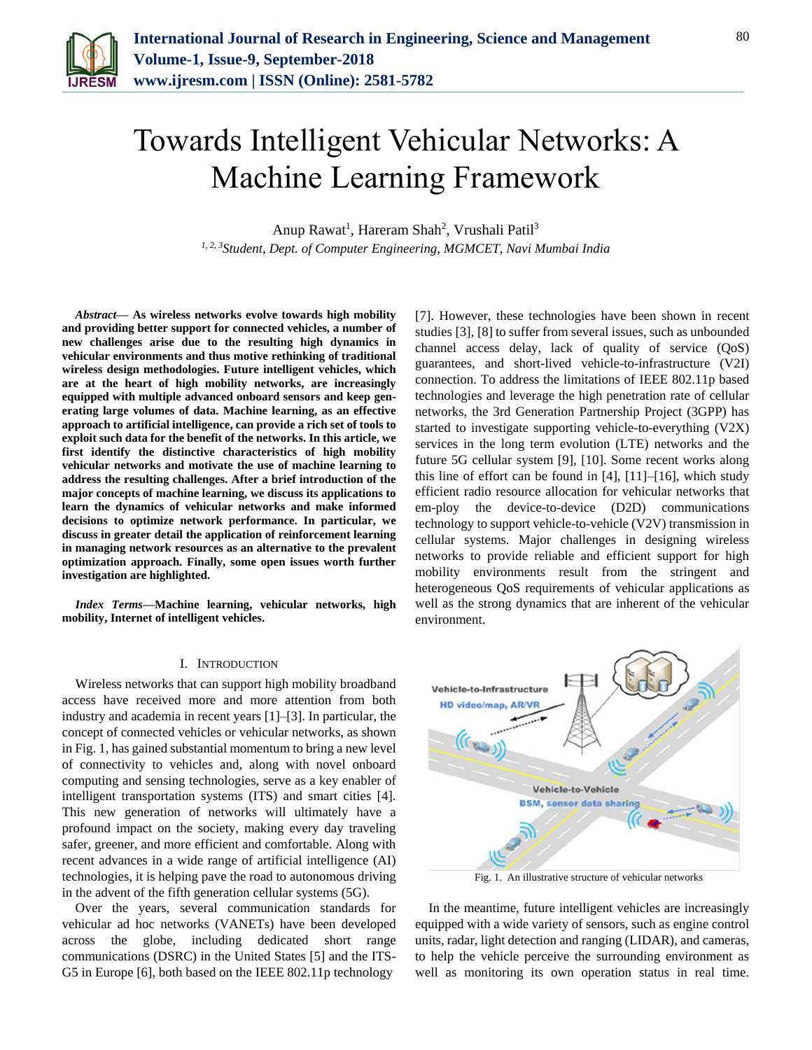

# Towards Intelligent Vehicular Networks: A Machine Learning Framework

Anup Rawat<sup>1</sup>, Hareram Shah<sup>2</sup>, Vrushali Patil<sup>3</sup>

*1, 2, 3Student, Dept. of Computer Engineering, MGMCET, Navi Mumbai India*

*Abstract***— As wireless networks evolve towards high mobility and providing better support for connected vehicles, a number of new challenges arise due to the resulting high dynamics in vehicular environments and thus motive rethinking of traditional wireless design methodologies. Future intelligent vehicles, which are at the heart of high mobility networks, are increasingly equipped with multiple advanced onboard sensors and keep generating large volumes of data. Machine learning, as an effective approach to artificial intelligence, can provide a rich set of tools to exploit such data for the benefit of the networks. In this article, we first identify the distinctive characteristics of high mobility vehicular networks and motivate the use of machine learning to address the resulting challenges. After a brief introduction of the major concepts of machine learning, we discuss its applications to learn the dynamics of vehicular networks and make informed decisions to optimize network performance. In particular, we discuss in greater detail the application of reinforcement learning in managing network resources as an alternative to the prevalent optimization approach. Finally, some open issues worth further investigation are highlighted.**

*Index Terms***—Machine learning, vehicular networks, high mobility, Internet of intelligent vehicles.**

# I. INTRODUCTION

Wireless networks that can support high mobility broadband access have received more and more attention from both industry and academia in recent years [1]–[3]. In particular, the concept of connected vehicles or vehicular networks, as shown in Fig. 1, has gained substantial momentum to bring a new level of connectivity to vehicles and, along with novel onboard computing and sensing technologies, serve as a key enabler of intelligent transportation systems (ITS) and smart cities [4]. This new generation of networks will ultimately have a profound impact on the society, making every day traveling safer, greener, and more efficient and comfortable. Along with recent advances in a wide range of artificial intelligence (AI) technologies, it is helping pave the road to autonomous driving in the advent of the fifth generation cellular systems (5G).

Over the years, several communication standards for vehicular ad hoc networks (VANETs) have been developed across the globe, including dedicated short range communications (DSRC) in the United States [5] and the ITS-G5 in Europe [6], both based on the IEEE 802.11p technology

[7]. However, these technologies have been shown in recent studies [3], [8] to suffer from several issues, such as unbounded channel access delay, lack of quality of service (QoS) guarantees, and short-lived vehicle-to-infrastructure (V2I) connection. To address the limitations of IEEE 802.11p based technologies and leverage the high penetration rate of cellular networks, the 3rd Generation Partnership Project (3GPP) has started to investigate supporting vehicle-to-everything (V2X) services in the long term evolution (LTE) networks and the future 5G cellular system [9], [10]. Some recent works along this line of effort can be found in [4], [11]–[16], which study efficient radio resource allocation for vehicular networks that em-ploy the device-to-device (D2D) communications technology to support vehicle-to-vehicle (V2V) transmission in cellular systems. Major challenges in designing wireless networks to provide reliable and efficient support for high mobility environments result from the stringent and heterogeneous QoS requirements of vehicular applications as well as the strong dynamics that are inherent of the vehicular environment.



Fig. 1. An illustrative structure of vehicular networks

In the meantime, future intelligent vehicles are increasingly equipped with a wide variety of sensors, such as engine control units, radar, light detection and ranging (LIDAR), and cameras, to help the vehicle perceive the surrounding environment as well as monitoring its own operation status in real time.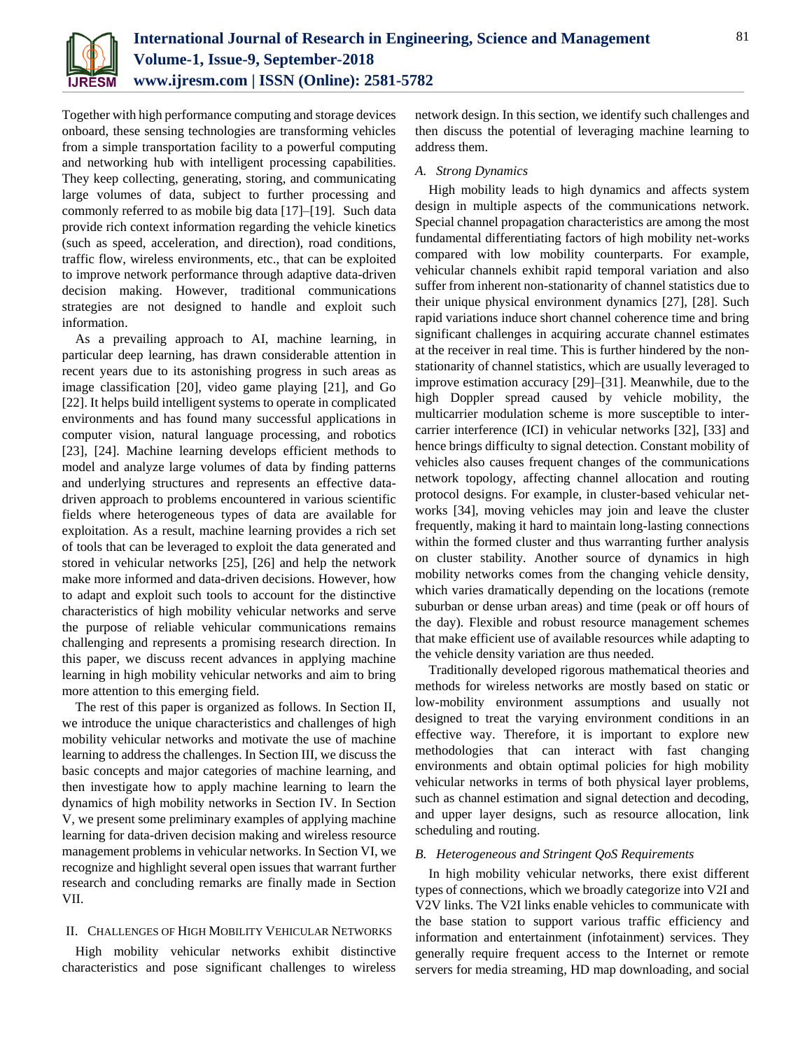

Together with high performance computing and storage devices onboard, these sensing technologies are transforming vehicles from a simple transportation facility to a powerful computing and networking hub with intelligent processing capabilities. They keep collecting, generating, storing, and communicating large volumes of data, subject to further processing and commonly referred to as mobile big data [17]–[19]. Such data provide rich context information regarding the vehicle kinetics (such as speed, acceleration, and direction), road conditions, traffic flow, wireless environments, etc., that can be exploited to improve network performance through adaptive data-driven decision making. However, traditional communications strategies are not designed to handle and exploit such information.

As a prevailing approach to AI, machine learning, in particular deep learning, has drawn considerable attention in recent years due to its astonishing progress in such areas as image classification [20], video game playing [21], and Go [22]. It helps build intelligent systems to operate in complicated environments and has found many successful applications in computer vision, natural language processing, and robotics [23], [24]. Machine learning develops efficient methods to model and analyze large volumes of data by finding patterns and underlying structures and represents an effective datadriven approach to problems encountered in various scientific fields where heterogeneous types of data are available for exploitation. As a result, machine learning provides a rich set of tools that can be leveraged to exploit the data generated and stored in vehicular networks [25], [26] and help the network make more informed and data-driven decisions. However, how to adapt and exploit such tools to account for the distinctive characteristics of high mobility vehicular networks and serve the purpose of reliable vehicular communications remains challenging and represents a promising research direction. In this paper, we discuss recent advances in applying machine learning in high mobility vehicular networks and aim to bring more attention to this emerging field.

The rest of this paper is organized as follows. In Section II, we introduce the unique characteristics and challenges of high mobility vehicular networks and motivate the use of machine learning to address the challenges. In Section III, we discuss the basic concepts and major categories of machine learning, and then investigate how to apply machine learning to learn the dynamics of high mobility networks in Section IV. In Section V, we present some preliminary examples of applying machine learning for data-driven decision making and wireless resource management problems in vehicular networks. In Section VI, we recognize and highlight several open issues that warrant further research and concluding remarks are finally made in Section VII.

#### II. CHALLENGES OF HIGH MOBILITY VEHICULAR NETWORKS

High mobility vehicular networks exhibit distinctive characteristics and pose significant challenges to wireless network design. In this section, we identify such challenges and then discuss the potential of leveraging machine learning to address them.

#### *A. Strong Dynamics*

High mobility leads to high dynamics and affects system design in multiple aspects of the communications network. Special channel propagation characteristics are among the most fundamental differentiating factors of high mobility net-works compared with low mobility counterparts. For example, vehicular channels exhibit rapid temporal variation and also suffer from inherent non-stationarity of channel statistics due to their unique physical environment dynamics [27], [28]. Such rapid variations induce short channel coherence time and bring significant challenges in acquiring accurate channel estimates at the receiver in real time. This is further hindered by the nonstationarity of channel statistics, which are usually leveraged to improve estimation accuracy [29]–[31]. Meanwhile, due to the high Doppler spread caused by vehicle mobility, the multicarrier modulation scheme is more susceptible to intercarrier interference (ICI) in vehicular networks [32], [33] and hence brings difficulty to signal detection. Constant mobility of vehicles also causes frequent changes of the communications network topology, affecting channel allocation and routing protocol designs. For example, in cluster-based vehicular networks [34], moving vehicles may join and leave the cluster frequently, making it hard to maintain long-lasting connections within the formed cluster and thus warranting further analysis on cluster stability. Another source of dynamics in high mobility networks comes from the changing vehicle density, which varies dramatically depending on the locations (remote suburban or dense urban areas) and time (peak or off hours of the day). Flexible and robust resource management schemes that make efficient use of available resources while adapting to the vehicle density variation are thus needed.

Traditionally developed rigorous mathematical theories and methods for wireless networks are mostly based on static or low-mobility environment assumptions and usually not designed to treat the varying environment conditions in an effective way. Therefore, it is important to explore new methodologies that can interact with fast changing environments and obtain optimal policies for high mobility vehicular networks in terms of both physical layer problems, such as channel estimation and signal detection and decoding, and upper layer designs, such as resource allocation, link scheduling and routing.

# *B. Heterogeneous and Stringent QoS Requirements*

In high mobility vehicular networks, there exist different types of connections, which we broadly categorize into V2I and V2V links. The V2I links enable vehicles to communicate with the base station to support various traffic efficiency and information and entertainment (infotainment) services. They generally require frequent access to the Internet or remote servers for media streaming, HD map downloading, and social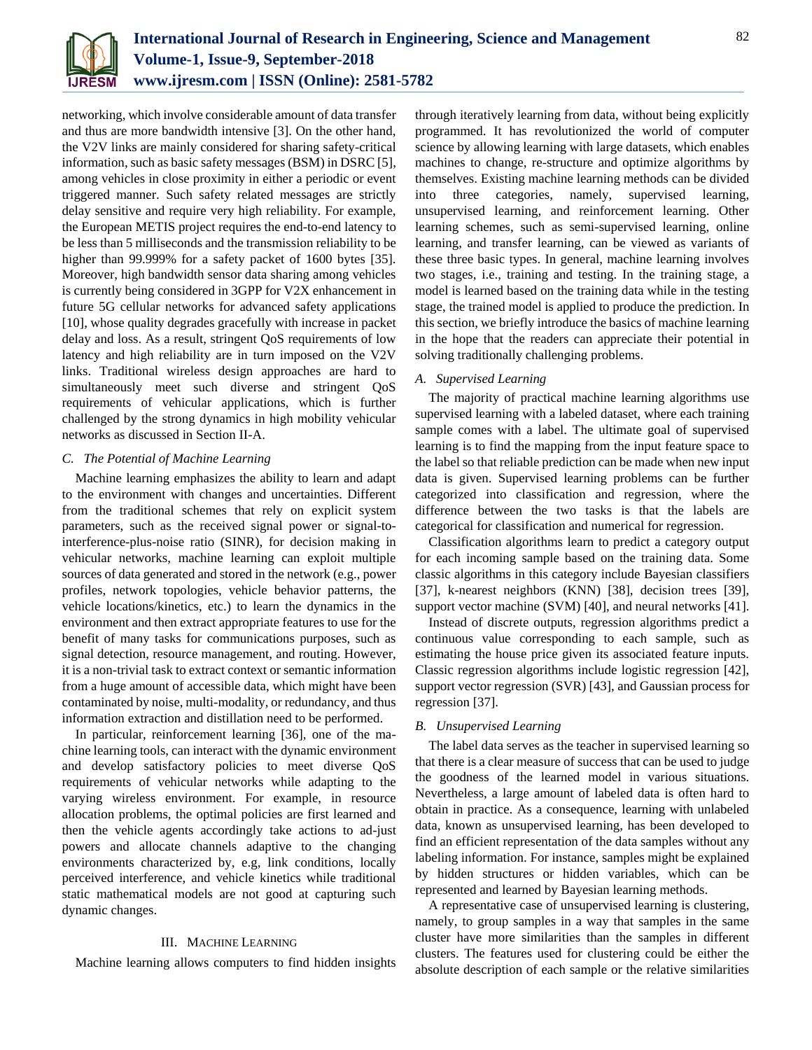

networking, which involve considerable amount of data transfer and thus are more bandwidth intensive [3]. On the other hand, the V2V links are mainly considered for sharing safety-critical information, such as basic safety messages (BSM) in DSRC [5], among vehicles in close proximity in either a periodic or event triggered manner. Such safety related messages are strictly delay sensitive and require very high reliability. For example, the European METIS project requires the end-to-end latency to be less than 5 milliseconds and the transmission reliability to be higher than 99.999% for a safety packet of 1600 bytes [35]. Moreover, high bandwidth sensor data sharing among vehicles is currently being considered in 3GPP for V2X enhancement in future 5G cellular networks for advanced safety applications [10], whose quality degrades gracefully with increase in packet delay and loss. As a result, stringent QoS requirements of low latency and high reliability are in turn imposed on the V2V links. Traditional wireless design approaches are hard to simultaneously meet such diverse and stringent QoS requirements of vehicular applications, which is further challenged by the strong dynamics in high mobility vehicular networks as discussed in Section II-A.

# *C. The Potential of Machine Learning*

Machine learning emphasizes the ability to learn and adapt to the environment with changes and uncertainties. Different from the traditional schemes that rely on explicit system parameters, such as the received signal power or signal-tointerference-plus-noise ratio (SINR), for decision making in vehicular networks, machine learning can exploit multiple sources of data generated and stored in the network (e.g., power profiles, network topologies, vehicle behavior patterns, the vehicle locations/kinetics, etc.) to learn the dynamics in the environment and then extract appropriate features to use for the benefit of many tasks for communications purposes, such as signal detection, resource management, and routing. However, it is a non-trivial task to extract context or semantic information from a huge amount of accessible data, which might have been contaminated by noise, multi-modality, or redundancy, and thus information extraction and distillation need to be performed.

In particular, reinforcement learning [36], one of the machine learning tools, can interact with the dynamic environment and develop satisfactory policies to meet diverse QoS requirements of vehicular networks while adapting to the varying wireless environment. For example, in resource allocation problems, the optimal policies are first learned and then the vehicle agents accordingly take actions to ad-just powers and allocate channels adaptive to the changing environments characterized by, e.g, link conditions, locally perceived interference, and vehicle kinetics while traditional static mathematical models are not good at capturing such dynamic changes.

# III. MACHINE LEARNING

Machine learning allows computers to find hidden insights

through iteratively learning from data, without being explicitly programmed. It has revolutionized the world of computer science by allowing learning with large datasets, which enables machines to change, re-structure and optimize algorithms by themselves. Existing machine learning methods can be divided into three categories, namely, supervised learning, unsupervised learning, and reinforcement learning. Other learning schemes, such as semi-supervised learning, online learning, and transfer learning, can be viewed as variants of these three basic types. In general, machine learning involves two stages, i.e., training and testing. In the training stage, a model is learned based on the training data while in the testing stage, the trained model is applied to produce the prediction. In this section, we briefly introduce the basics of machine learning in the hope that the readers can appreciate their potential in solving traditionally challenging problems.

# *A. Supervised Learning*

The majority of practical machine learning algorithms use supervised learning with a labeled dataset, where each training sample comes with a label. The ultimate goal of supervised learning is to find the mapping from the input feature space to the label so that reliable prediction can be made when new input data is given. Supervised learning problems can be further categorized into classification and regression, where the difference between the two tasks is that the labels are categorical for classification and numerical for regression.

Classification algorithms learn to predict a category output for each incoming sample based on the training data. Some classic algorithms in this category include Bayesian classifiers [37], k-nearest neighbors (KNN) [38], decision trees [39], support vector machine (SVM) [40], and neural networks [41].

Instead of discrete outputs, regression algorithms predict a continuous value corresponding to each sample, such as estimating the house price given its associated feature inputs. Classic regression algorithms include logistic regression [42], support vector regression (SVR) [43], and Gaussian process for regression [37].

# *B. Unsupervised Learning*

The label data serves as the teacher in supervised learning so that there is a clear measure of success that can be used to judge the goodness of the learned model in various situations. Nevertheless, a large amount of labeled data is often hard to obtain in practice. As a consequence, learning with unlabeled data, known as unsupervised learning, has been developed to find an efficient representation of the data samples without any labeling information. For instance, samples might be explained by hidden structures or hidden variables, which can be represented and learned by Bayesian learning methods.

A representative case of unsupervised learning is clustering, namely, to group samples in a way that samples in the same cluster have more similarities than the samples in different clusters. The features used for clustering could be either the absolute description of each sample or the relative similarities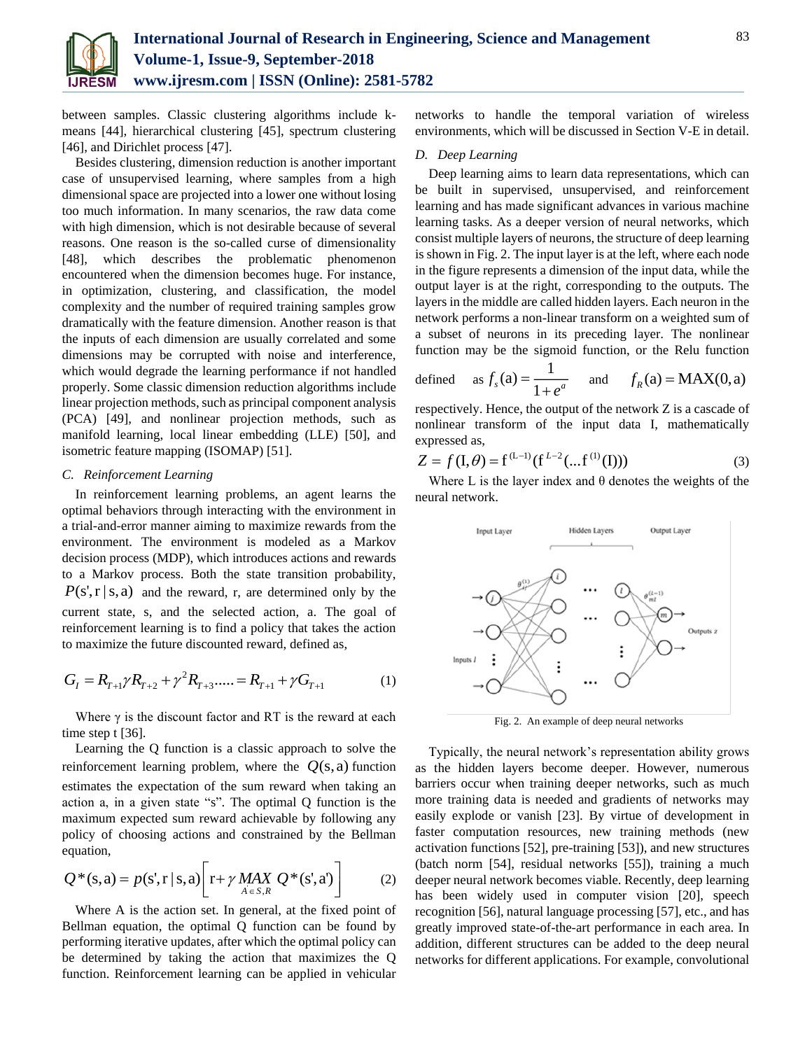

between samples. Classic clustering algorithms include kmeans [44], hierarchical clustering [45], spectrum clustering [46], and Dirichlet process [47].

Besides clustering, dimension reduction is another important case of unsupervised learning, where samples from a high dimensional space are projected into a lower one without losing too much information. In many scenarios, the raw data come with high dimension, which is not desirable because of several reasons. One reason is the so-called curse of dimensionality [48], which describes the problematic phenomenon encountered when the dimension becomes huge. For instance, in optimization, clustering, and classification, the model complexity and the number of required training samples grow dramatically with the feature dimension. Another reason is that the inputs of each dimension are usually correlated and some dimensions may be corrupted with noise and interference, which would degrade the learning performance if not handled properly. Some classic dimension reduction algorithms include linear projection methods, such as principal component analysis (PCA) [49], and nonlinear projection methods, such as manifold learning, local linear embedding (LLE) [50], and isometric feature mapping (ISOMAP) [51].

#### *C. Reinforcement Learning*

In reinforcement learning problems, an agent learns the optimal behaviors through interacting with the environment in a trial-and-error manner aiming to maximize rewards from the environment. The environment is modeled as a Markov decision process (MDP), which introduces actions and rewards to a Markov process. Both the state transition probability,  $P(s', r | s, a)$  and the reward, r, are determined only by the current state, s, and the selected action, a. The goal of reinforcement learning is to find a policy that takes the action to maximize the future discounted reward, defined as,

$$
G_{I} = R_{T+1} \gamma R_{T+2} + \gamma^{2} R_{T+3} \dots = R_{T+1} + \gamma G_{T+1}
$$
 (1)

Where  $\gamma$  is the discount factor and RT is the reward at each time step t [36].

Learning the Q function is a classic approach to solve the reinforcement learning problem, where the  $Q(s, a)$  function estimates the expectation of the sum reward when taking an action a, in a given state "s". The optimal Q function is the maximum expected sum reward achievable by following any policy of choosing actions and constrained by the Bellman equation,

$$
Q^*(s, a) = p(s', r | s, a) \left[ r + \gamma \underset{A \in S, R}{\text{MAX }} Q^*(s', a') \right] \tag{2}
$$

Where A is the action set. In general, at the fixed point of Bellman equation, the optimal Q function can be found by performing iterative updates, after which the optimal policy can be determined by taking the action that maximizes the Q function. Reinforcement learning can be applied in vehicular

networks to handle the temporal variation of wireless environments, which will be discussed in Section V-E in detail.

# *D. Deep Learning*

Deep learning aims to learn data representations, which can be built in supervised, unsupervised, and reinforcement learning and has made significant advances in various machine learning tasks. As a deeper version of neural networks, which consist multiple layers of neurons, the structure of deep learning is shown in Fig. 2. The input layer is at the left, where each node in the figure represents a dimension of the input data, while the output layer is at the right, corresponding to the outputs. The layers in the middle are called hidden layers. Each neuron in the network performs a non-linear transform on a weighted sum of a subset of neurons in its preceding layer. The nonlinear function may be the sigmoid function, or the Relu function

defined as 
$$
f_s(a) = \frac{1}{1 + e^a}
$$
 and  $f_R(a) = MAX(0, a)$ 

respectively. Hence, the output of the network Z is a cascade of nonlinear transform of the input data I, mathematically expressed as,

$$
Z = f(I, \theta) = f^{(L-1)}(f^{L-2}(...f^{(1)}(I)))
$$
\n(3)

Where L is the layer index and  $\theta$  denotes the weights of the neural network.



Fig. 2. An example of deep neural networks

Typically, the neural network's representation ability grows as the hidden layers become deeper. However, numerous barriers occur when training deeper networks, such as much more training data is needed and gradients of networks may easily explode or vanish [23]. By virtue of development in faster computation resources, new training methods (new activation functions [52], pre-training [53]), and new structures (batch norm [54], residual networks [55]), training a much deeper neural network becomes viable. Recently, deep learning has been widely used in computer vision [20], speech recognition [56], natural language processing [57], etc., and has greatly improved state-of-the-art performance in each area. In addition, different structures can be added to the deep neural networks for different applications. For example, convolutional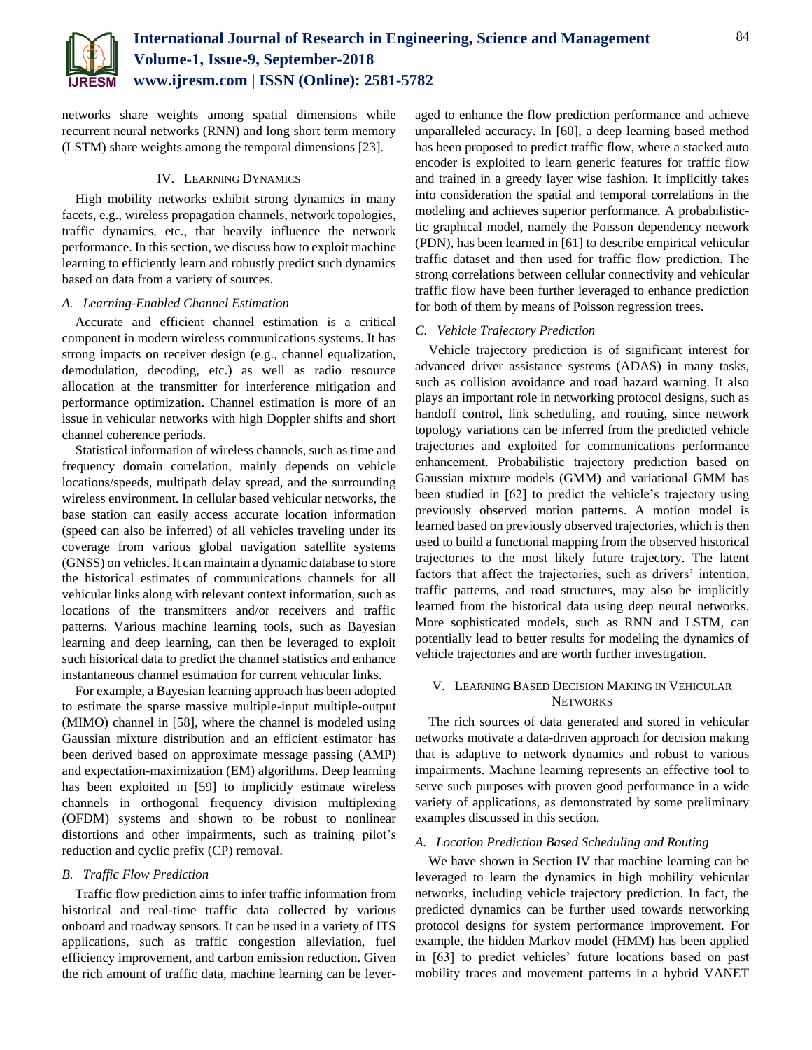

networks share weights among spatial dimensions while recurrent neural networks (RNN) and long short term memory (LSTM) share weights among the temporal dimensions [23].

# IV. LEARNING DYNAMICS

High mobility networks exhibit strong dynamics in many facets, e.g., wireless propagation channels, network topologies, traffic dynamics, etc., that heavily influence the network performance. In this section, we discuss how to exploit machine learning to efficiently learn and robustly predict such dynamics based on data from a variety of sources.

#### *A. Learning-Enabled Channel Estimation*

Accurate and efficient channel estimation is a critical component in modern wireless communications systems. It has strong impacts on receiver design (e.g., channel equalization, demodulation, decoding, etc.) as well as radio resource allocation at the transmitter for interference mitigation and performance optimization. Channel estimation is more of an issue in vehicular networks with high Doppler shifts and short channel coherence periods.

Statistical information of wireless channels, such as time and frequency domain correlation, mainly depends on vehicle locations/speeds, multipath delay spread, and the surrounding wireless environment. In cellular based vehicular networks, the base station can easily access accurate location information (speed can also be inferred) of all vehicles traveling under its coverage from various global navigation satellite systems (GNSS) on vehicles. It can maintain a dynamic database to store the historical estimates of communications channels for all vehicular links along with relevant context information, such as locations of the transmitters and/or receivers and traffic patterns. Various machine learning tools, such as Bayesian learning and deep learning, can then be leveraged to exploit such historical data to predict the channel statistics and enhance instantaneous channel estimation for current vehicular links.

For example, a Bayesian learning approach has been adopted to estimate the sparse massive multiple-input multiple-output (MIMO) channel in [58], where the channel is modeled using Gaussian mixture distribution and an efficient estimator has been derived based on approximate message passing (AMP) and expectation-maximization (EM) algorithms. Deep learning has been exploited in [59] to implicitly estimate wireless channels in orthogonal frequency division multiplexing (OFDM) systems and shown to be robust to nonlinear distortions and other impairments, such as training pilot's reduction and cyclic prefix (CP) removal.

# *B. Traffic Flow Prediction*

Traffic flow prediction aims to infer traffic information from historical and real-time traffic data collected by various onboard and roadway sensors. It can be used in a variety of ITS applications, such as traffic congestion alleviation, fuel efficiency improvement, and carbon emission reduction. Given the rich amount of traffic data, machine learning can be leveraged to enhance the flow prediction performance and achieve unparalleled accuracy. In [60], a deep learning based method has been proposed to predict traffic flow, where a stacked auto encoder is exploited to learn generic features for traffic flow and trained in a greedy layer wise fashion. It implicitly takes into consideration the spatial and temporal correlations in the modeling and achieves superior performance. A probabilistictic graphical model, namely the Poisson dependency network (PDN), has been learned in [61] to describe empirical vehicular traffic dataset and then used for traffic flow prediction. The strong correlations between cellular connectivity and vehicular traffic flow have been further leveraged to enhance prediction for both of them by means of Poisson regression trees.

# *C. Vehicle Trajectory Prediction*

Vehicle trajectory prediction is of significant interest for advanced driver assistance systems (ADAS) in many tasks, such as collision avoidance and road hazard warning. It also plays an important role in networking protocol designs, such as handoff control, link scheduling, and routing, since network topology variations can be inferred from the predicted vehicle trajectories and exploited for communications performance enhancement. Probabilistic trajectory prediction based on Gaussian mixture models (GMM) and variational GMM has been studied in [62] to predict the vehicle's trajectory using previously observed motion patterns. A motion model is learned based on previously observed trajectories, which is then used to build a functional mapping from the observed historical trajectories to the most likely future trajectory. The latent factors that affect the trajectories, such as drivers' intention, traffic patterns, and road structures, may also be implicitly learned from the historical data using deep neural networks. More sophisticated models, such as RNN and LSTM, can potentially lead to better results for modeling the dynamics of vehicle trajectories and are worth further investigation.

# V. LEARNING BASED DECISION MAKING IN VEHICULAR **NETWORKS**

The rich sources of data generated and stored in vehicular networks motivate a data-driven approach for decision making that is adaptive to network dynamics and robust to various impairments. Machine learning represents an effective tool to serve such purposes with proven good performance in a wide variety of applications, as demonstrated by some preliminary examples discussed in this section.

#### *A. Location Prediction Based Scheduling and Routing*

We have shown in Section IV that machine learning can be leveraged to learn the dynamics in high mobility vehicular networks, including vehicle trajectory prediction. In fact, the predicted dynamics can be further used towards networking protocol designs for system performance improvement. For example, the hidden Markov model (HMM) has been applied in [63] to predict vehicles' future locations based on past mobility traces and movement patterns in a hybrid VANET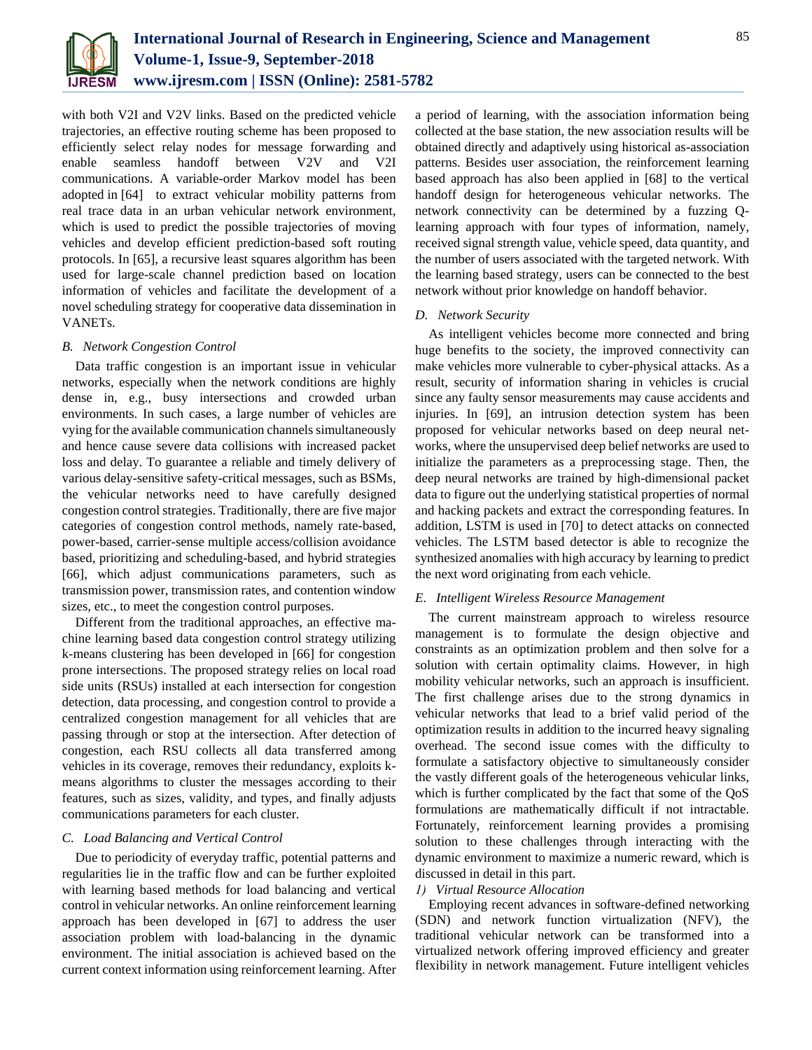

with both V2I and V2V links. Based on the predicted vehicle trajectories, an effective routing scheme has been proposed to efficiently select relay nodes for message forwarding and enable seamless handoff between V2V and V2I communications. A variable-order Markov model has been adopted in [64] to extract vehicular mobility patterns from real trace data in an urban vehicular network environment, which is used to predict the possible trajectories of moving vehicles and develop efficient prediction-based soft routing protocols. In [65], a recursive least squares algorithm has been used for large-scale channel prediction based on location information of vehicles and facilitate the development of a novel scheduling strategy for cooperative data dissemination in VANETs.

# *B. Network Congestion Control*

Data traffic congestion is an important issue in vehicular networks, especially when the network conditions are highly dense in, e.g., busy intersections and crowded urban environments. In such cases, a large number of vehicles are vying for the available communication channels simultaneously and hence cause severe data collisions with increased packet loss and delay. To guarantee a reliable and timely delivery of various delay-sensitive safety-critical messages, such as BSMs, the vehicular networks need to have carefully designed congestion control strategies. Traditionally, there are five major categories of congestion control methods, namely rate-based, power-based, carrier-sense multiple access/collision avoidance based, prioritizing and scheduling-based, and hybrid strategies [66], which adjust communications parameters, such as transmission power, transmission rates, and contention window sizes, etc., to meet the congestion control purposes.

Different from the traditional approaches, an effective machine learning based data congestion control strategy utilizing k-means clustering has been developed in [66] for congestion prone intersections. The proposed strategy relies on local road side units (RSUs) installed at each intersection for congestion detection, data processing, and congestion control to provide a centralized congestion management for all vehicles that are passing through or stop at the intersection. After detection of congestion, each RSU collects all data transferred among vehicles in its coverage, removes their redundancy, exploits kmeans algorithms to cluster the messages according to their features, such as sizes, validity, and types, and finally adjusts communications parameters for each cluster.

#### *C. Load Balancing and Vertical Control*

Due to periodicity of everyday traffic, potential patterns and regularities lie in the traffic flow and can be further exploited with learning based methods for load balancing and vertical control in vehicular networks. An online reinforcement learning approach has been developed in [67] to address the user association problem with load-balancing in the dynamic environment. The initial association is achieved based on the current context information using reinforcement learning. After

a period of learning, with the association information being collected at the base station, the new association results will be obtained directly and adaptively using historical as-association patterns. Besides user association, the reinforcement learning based approach has also been applied in [68] to the vertical handoff design for heterogeneous vehicular networks. The network connectivity can be determined by a fuzzing Qlearning approach with four types of information, namely, received signal strength value, vehicle speed, data quantity, and the number of users associated with the targeted network. With the learning based strategy, users can be connected to the best network without prior knowledge on handoff behavior.

# *D. Network Security*

As intelligent vehicles become more connected and bring huge benefits to the society, the improved connectivity can make vehicles more vulnerable to cyber-physical attacks. As a result, security of information sharing in vehicles is crucial since any faulty sensor measurements may cause accidents and injuries. In [69], an intrusion detection system has been proposed for vehicular networks based on deep neural networks, where the unsupervised deep belief networks are used to initialize the parameters as a preprocessing stage. Then, the deep neural networks are trained by high-dimensional packet data to figure out the underlying statistical properties of normal and hacking packets and extract the corresponding features. In addition, LSTM is used in [70] to detect attacks on connected vehicles. The LSTM based detector is able to recognize the synthesized anomalies with high accuracy by learning to predict the next word originating from each vehicle.

# *E. Intelligent Wireless Resource Management*

The current mainstream approach to wireless resource management is to formulate the design objective and constraints as an optimization problem and then solve for a solution with certain optimality claims. However, in high mobility vehicular networks, such an approach is insufficient. The first challenge arises due to the strong dynamics in vehicular networks that lead to a brief valid period of the optimization results in addition to the incurred heavy signaling overhead. The second issue comes with the difficulty to formulate a satisfactory objective to simultaneously consider the vastly different goals of the heterogeneous vehicular links, which is further complicated by the fact that some of the QoS formulations are mathematically difficult if not intractable. Fortunately, reinforcement learning provides a promising solution to these challenges through interacting with the dynamic environment to maximize a numeric reward, which is discussed in detail in this part.

# *1) Virtual Resource Allocation*

Employing recent advances in software-defined networking (SDN) and network function virtualization (NFV), the traditional vehicular network can be transformed into a virtualized network offering improved efficiency and greater flexibility in network management. Future intelligent vehicles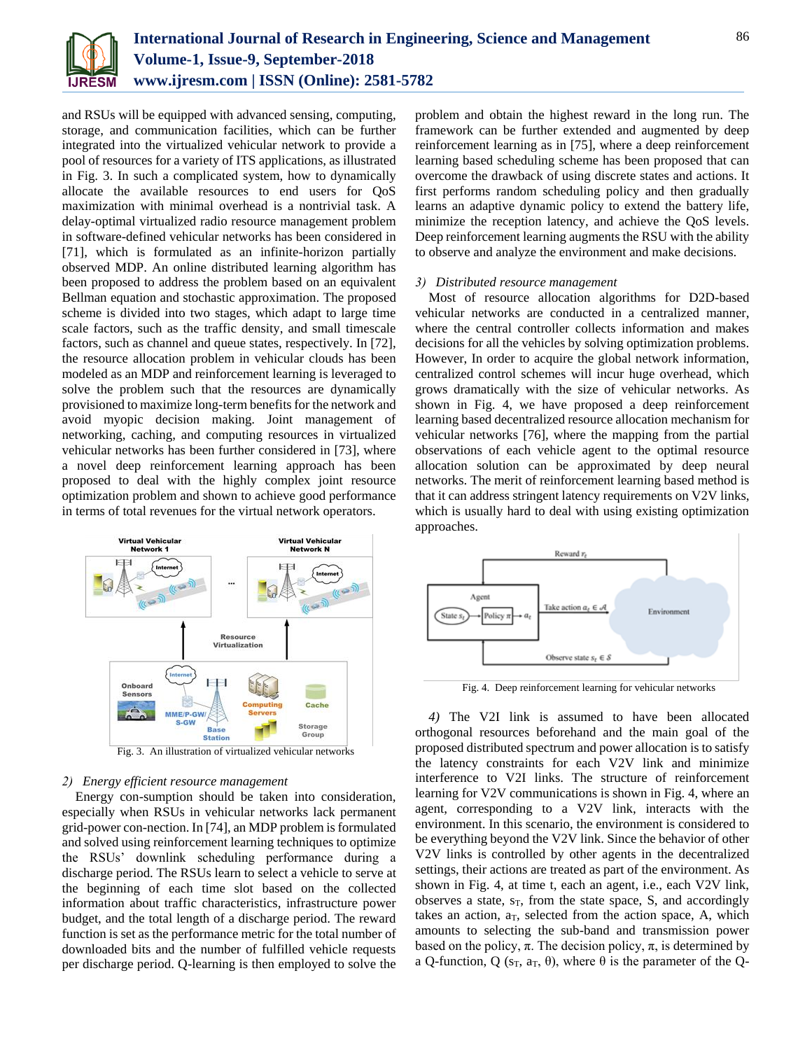

and RSUs will be equipped with advanced sensing, computing, storage, and communication facilities, which can be further integrated into the virtualized vehicular network to provide a pool of resources for a variety of ITS applications, as illustrated in Fig. 3. In such a complicated system, how to dynamically allocate the available resources to end users for QoS maximization with minimal overhead is a nontrivial task. A delay-optimal virtualized radio resource management problem in software-defined vehicular networks has been considered in [71], which is formulated as an infinite-horizon partially observed MDP. An online distributed learning algorithm has been proposed to address the problem based on an equivalent Bellman equation and stochastic approximation. The proposed scheme is divided into two stages, which adapt to large time scale factors, such as the traffic density, and small timescale factors, such as channel and queue states, respectively. In [72], the resource allocation problem in vehicular clouds has been modeled as an MDP and reinforcement learning is leveraged to solve the problem such that the resources are dynamically provisioned to maximize long-term benefits for the network and avoid myopic decision making. Joint management of networking, caching, and computing resources in virtualized vehicular networks has been further considered in [73], where a novel deep reinforcement learning approach has been proposed to deal with the highly complex joint resource optimization problem and shown to achieve good performance in terms of total revenues for the virtual network operators.



# Fig. 3. An illustration of virtualized vehicular networks

# *2) Energy efficient resource management*

Energy con-sumption should be taken into consideration, especially when RSUs in vehicular networks lack permanent grid-power con-nection. In [74], an MDP problem is formulated and solved using reinforcement learning techniques to optimize the RSUs' downlink scheduling performance during a discharge period. The RSUs learn to select a vehicle to serve at the beginning of each time slot based on the collected information about traffic characteristics, infrastructure power budget, and the total length of a discharge period. The reward function is set as the performance metric for the total number of downloaded bits and the number of fulfilled vehicle requests per discharge period. Q-learning is then employed to solve the problem and obtain the highest reward in the long run. The framework can be further extended and augmented by deep reinforcement learning as in [75], where a deep reinforcement learning based scheduling scheme has been proposed that can overcome the drawback of using discrete states and actions. It first performs random scheduling policy and then gradually learns an adaptive dynamic policy to extend the battery life, minimize the reception latency, and achieve the QoS levels. Deep reinforcement learning augments the RSU with the ability to observe and analyze the environment and make decisions.

#### *3) Distributed resource management*

Most of resource allocation algorithms for D2D-based vehicular networks are conducted in a centralized manner, where the central controller collects information and makes decisions for all the vehicles by solving optimization problems. However, In order to acquire the global network information, centralized control schemes will incur huge overhead, which grows dramatically with the size of vehicular networks. As shown in Fig. 4, we have proposed a deep reinforcement learning based decentralized resource allocation mechanism for vehicular networks [76], where the mapping from the partial observations of each vehicle agent to the optimal resource allocation solution can be approximated by deep neural networks. The merit of reinforcement learning based method is that it can address stringent latency requirements on V2V links, which is usually hard to deal with using existing optimization approaches.



Fig. 4. Deep reinforcement learning for vehicular networks

*4)* The V2I link is assumed to have been allocated orthogonal resources beforehand and the main goal of the proposed distributed spectrum and power allocation is to satisfy the latency constraints for each V2V link and minimize interference to V2I links. The structure of reinforcement learning for V2V communications is shown in Fig. 4, where an agent, corresponding to a V2V link, interacts with the environment. In this scenario, the environment is considered to be everything beyond the V2V link. Since the behavior of other V2V links is controlled by other agents in the decentralized settings, their actions are treated as part of the environment. As shown in Fig. 4, at time t, each an agent, i.e., each V2V link, observes a state,  $s_T$ , from the state space, S, and accordingly takes an action,  $a_T$ , selected from the action space, A, which amounts to selecting the sub-band and transmission power based on the policy,  $\pi$ . The decision policy,  $\pi$ , is determined by a Q-function, Q ( $s_T$ ,  $a_T$ ,  $\theta$ ), where  $\theta$  is the parameter of the Q-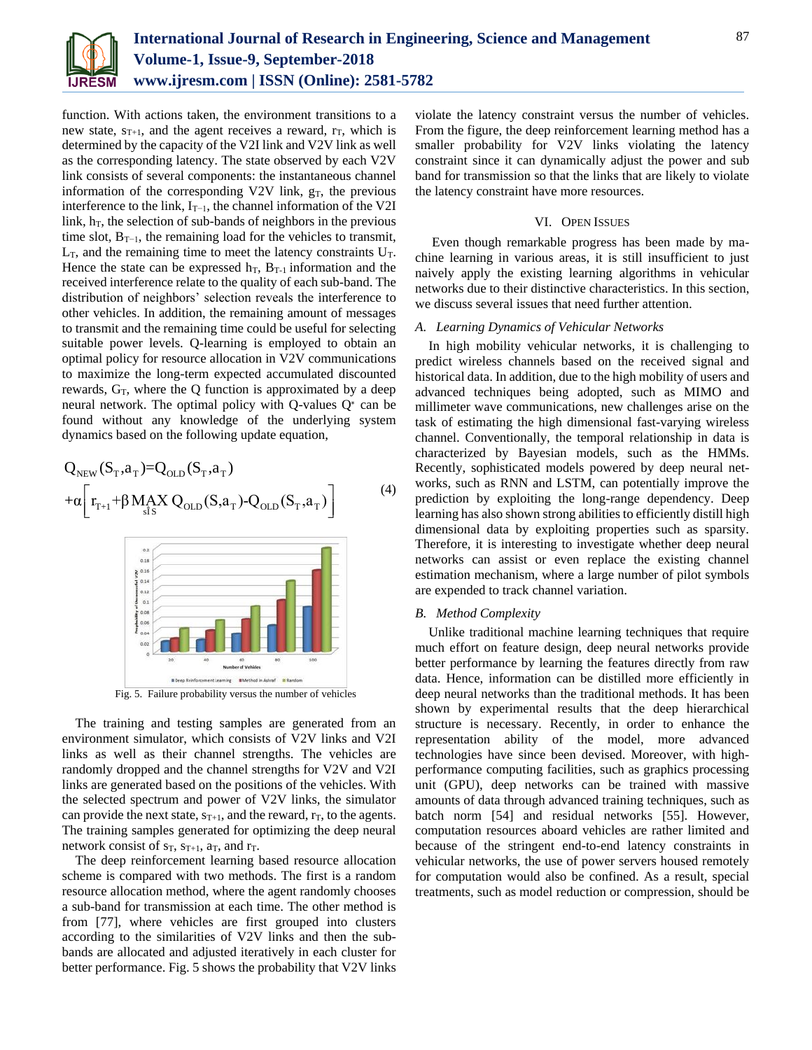

function. With actions taken, the environment transitions to a new state,  $s_{T+1}$ , and the agent receives a reward,  $r_T$ , which is determined by the capacity of the V2I link and V2V link as well as the corresponding latency. The state observed by each V2V link consists of several components: the instantaneous channel information of the corresponding V2V link,  $g_T$ , the previous interference to the link,  $I_{T-1}$ , the channel information of the V2I link,  $h_T$ , the selection of sub-bands of neighbors in the previous time slot,  $B_{T-1}$ , the remaining load for the vehicles to transmit,  $L_T$ , and the remaining time to meet the latency constraints  $U_T$ . Hence the state can be expressed  $h_T$ ,  $B_{T-1}$  information and the received interference relate to the quality of each sub-band. The distribution of neighbors' selection reveals the interference to other vehicles. In addition, the remaining amount of messages to transmit and the remaining time could be useful for selecting suitable power levels. Q-learning is employed to obtain an optimal policy for resource allocation in V2V communications to maximize the long-term expected accumulated discounted rewards,  $G_T$ , where the Q function is approximated by a deep neural network. The optimal policy with Q-values Q<sup>∗</sup> can be found without any knowledge of the underlying system dynamics based on the following update equation,



Fig. 5. Failure probability versus the number of vehicles

The training and testing samples are generated from an environment simulator, which consists of V2V links and V2I links as well as their channel strengths. The vehicles are randomly dropped and the channel strengths for V2V and V2I links are generated based on the positions of the vehicles. With the selected spectrum and power of V2V links, the simulator can provide the next state,  $s_{T+1}$ , and the reward,  $r_T$ , to the agents. The training samples generated for optimizing the deep neural network consist of  $s_T$ ,  $s_{T+1}$ ,  $a_T$ , and  $r_T$ .

The deep reinforcement learning based resource allocation scheme is compared with two methods. The first is a random resource allocation method, where the agent randomly chooses a sub-band for transmission at each time. The other method is from [77], where vehicles are first grouped into clusters according to the similarities of V2V links and then the subbands are allocated and adjusted iteratively in each cluster for better performance. Fig. 5 shows the probability that V2V links

violate the latency constraint versus the number of vehicles. From the figure, the deep reinforcement learning method has a smaller probability for V2V links violating the latency constraint since it can dynamically adjust the power and sub band for transmission so that the links that are likely to violate the latency constraint have more resources.

# VI. OPEN ISSUES

Even though remarkable progress has been made by machine learning in various areas, it is still insufficient to just naively apply the existing learning algorithms in vehicular networks due to their distinctive characteristics. In this section, we discuss several issues that need further attention.

# *A. Learning Dynamics of Vehicular Networks*

In high mobility vehicular networks, it is challenging to predict wireless channels based on the received signal and historical data. In addition, due to the high mobility of users and advanced techniques being adopted, such as MIMO and millimeter wave communications, new challenges arise on the task of estimating the high dimensional fast-varying wireless channel. Conventionally, the temporal relationship in data is characterized by Bayesian models, such as the HMMs. Recently, sophisticated models powered by deep neural networks, such as RNN and LSTM, can potentially improve the prediction by exploiting the long-range dependency. Deep learning has also shown strong abilities to efficiently distill high dimensional data by exploiting properties such as sparsity. Therefore, it is interesting to investigate whether deep neural networks can assist or even replace the existing channel estimation mechanism, where a large number of pilot symbols are expended to track channel variation.

# *B. Method Complexity*

Unlike traditional machine learning techniques that require much effort on feature design, deep neural networks provide better performance by learning the features directly from raw data. Hence, information can be distilled more efficiently in deep neural networks than the traditional methods. It has been shown by experimental results that the deep hierarchical structure is necessary. Recently, in order to enhance the representation ability of the model, more advanced technologies have since been devised. Moreover, with highperformance computing facilities, such as graphics processing unit (GPU), deep networks can be trained with massive amounts of data through advanced training techniques, such as batch norm [54] and residual networks [55]. However, computation resources aboard vehicles are rather limited and because of the stringent end-to-end latency constraints in vehicular networks, the use of power servers housed remotely for computation would also be confined. As a result, special treatments, such as model reduction or compression, should be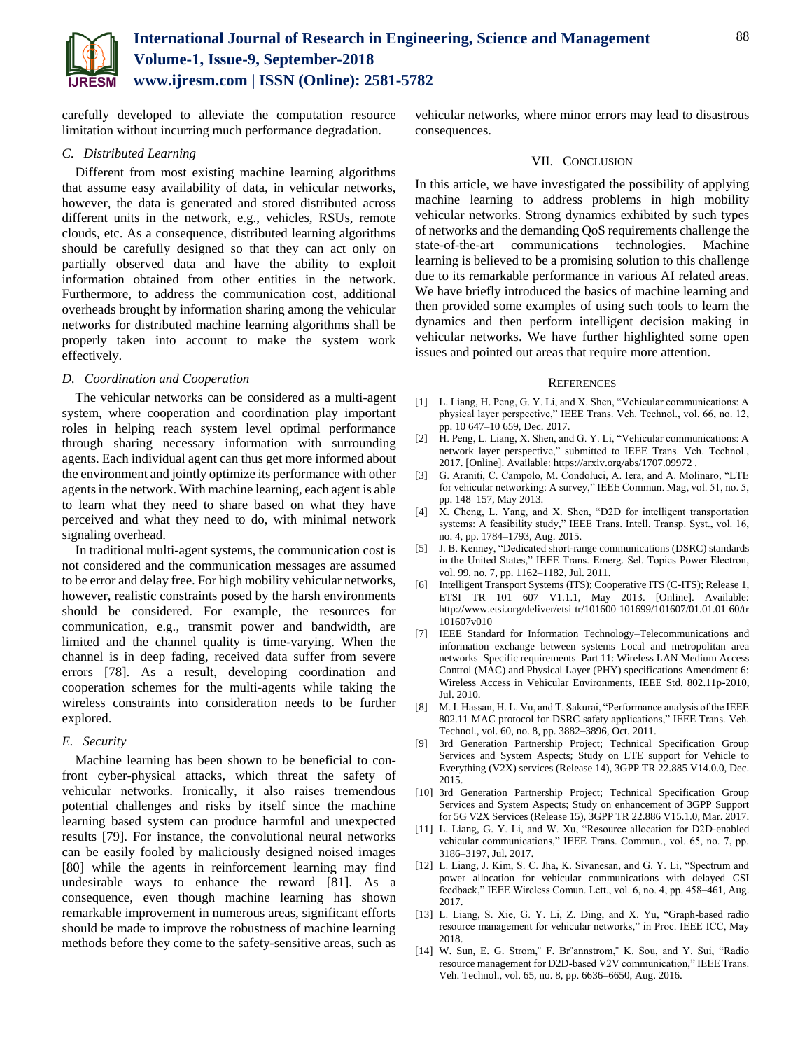

carefully developed to alleviate the computation resource limitation without incurring much performance degradation.

# *C. Distributed Learning*

Different from most existing machine learning algorithms that assume easy availability of data, in vehicular networks, however, the data is generated and stored distributed across different units in the network, e.g., vehicles, RSUs, remote clouds, etc. As a consequence, distributed learning algorithms should be carefully designed so that they can act only on partially observed data and have the ability to exploit information obtained from other entities in the network. Furthermore, to address the communication cost, additional overheads brought by information sharing among the vehicular networks for distributed machine learning algorithms shall be properly taken into account to make the system work effectively.

# *D. Coordination and Cooperation*

The vehicular networks can be considered as a multi-agent system, where cooperation and coordination play important roles in helping reach system level optimal performance through sharing necessary information with surrounding agents. Each individual agent can thus get more informed about the environment and jointly optimize its performance with other agents in the network. With machine learning, each agent is able to learn what they need to share based on what they have perceived and what they need to do, with minimal network signaling overhead.

In traditional multi-agent systems, the communication cost is not considered and the communication messages are assumed to be error and delay free. For high mobility vehicular networks, however, realistic constraints posed by the harsh environments should be considered. For example, the resources for communication, e.g., transmit power and bandwidth, are limited and the channel quality is time-varying. When the channel is in deep fading, received data suffer from severe errors [78]. As a result, developing coordination and cooperation schemes for the multi-agents while taking the wireless constraints into consideration needs to be further explored.

# *E. Security*

Machine learning has been shown to be beneficial to confront cyber-physical attacks, which threat the safety of vehicular networks. Ironically, it also raises tremendous potential challenges and risks by itself since the machine learning based system can produce harmful and unexpected results [79]. For instance, the convolutional neural networks can be easily fooled by maliciously designed noised images [80] while the agents in reinforcement learning may find undesirable ways to enhance the reward [81]. As a consequence, even though machine learning has shown remarkable improvement in numerous areas, significant efforts should be made to improve the robustness of machine learning methods before they come to the safety-sensitive areas, such as

vehicular networks, where minor errors may lead to disastrous consequences.

# VII. CONCLUSION

In this article, we have investigated the possibility of applying machine learning to address problems in high mobility vehicular networks. Strong dynamics exhibited by such types of networks and the demanding QoS requirements challenge the state-of-the-art communications technologies. Machine learning is believed to be a promising solution to this challenge due to its remarkable performance in various AI related areas. We have briefly introduced the basics of machine learning and then provided some examples of using such tools to learn the dynamics and then perform intelligent decision making in vehicular networks. We have further highlighted some open issues and pointed out areas that require more attention.

# **REFERENCES**

- [1] L. Liang, H. Peng, G. Y. Li, and X. Shen, "Vehicular communications: A physical layer perspective," IEEE Trans. Veh. Technol., vol. 66, no. 12, pp. 10 647–10 659, Dec. 2017.
- [2] H. Peng, L. Liang, X. Shen, and G. Y. Li, "Vehicular communications: A network layer perspective," submitted to IEEE Trans. Veh. Technol., 2017. [Online]. Available: https://arxiv.org/abs/1707.09972 .
- [3] G. Araniti, C. Campolo, M. Condoluci, A. Iera, and A. Molinaro, "LTE for vehicular networking: A survey," IEEE Commun. Mag, vol. 51, no. 5, pp. 148–157, May 2013.
- [4] X. Cheng, L. Yang, and X. Shen, "D2D for intelligent transportation systems: A feasibility study," IEEE Trans. Intell. Transp. Syst., vol. 16, no. 4, pp. 1784–1793, Aug. 2015.
- [5] J. B. Kenney, "Dedicated short-range communications (DSRC) standards in the United States," IEEE Trans. Emerg. Sel. Topics Power Electron, vol. 99, no. 7, pp. 1162–1182, Jul. 2011.
- [6] Intelligent Transport Systems (ITS); Cooperative ITS (C-ITS); Release 1, ETSI TR 101 607 V1.1.1, May 2013. [Online]. Available: http://www.etsi.org/deliver/etsi tr/101600 101699/101607/01.01.01 60/tr 101607v010
- [7] IEEE Standard for Information Technology–Telecommunications and information exchange between systems–Local and metropolitan area networks–Specific requirements–Part 11: Wireless LAN Medium Access Control (MAC) and Physical Layer (PHY) specifications Amendment 6: Wireless Access in Vehicular Environments, IEEE Std. 802.11p-2010, Jul. 2010.
- [8] M. I. Hassan, H. L. Vu, and T. Sakurai, "Performance analysis of the IEEE 802.11 MAC protocol for DSRC safety applications," IEEE Trans. Veh. Technol., vol. 60, no. 8, pp. 3882–3896, Oct. 2011.
- [9] 3rd Generation Partnership Project; Technical Specification Group Services and System Aspects; Study on LTE support for Vehicle to Everything (V2X) services (Release 14), 3GPP TR 22.885 V14.0.0, Dec. 2015.
- [10] 3rd Generation Partnership Project; Technical Specification Group Services and System Aspects; Study on enhancement of 3GPP Support for 5G V2X Services (Release 15), 3GPP TR 22.886 V15.1.0, Mar. 2017.
- [11] L. Liang, G. Y. Li, and W. Xu, "Resource allocation for D2D-enabled vehicular communications," IEEE Trans. Commun., vol. 65, no. 7, pp. 3186–3197, Jul. 2017.
- [12] L. Liang, J. Kim, S. C. Jha, K. Sivanesan, and G. Y. Li, "Spectrum and power allocation for vehicular communications with delayed CSI feedback," IEEE Wireless Comun. Lett., vol. 6, no. 4, pp. 458–461, Aug. 2017.
- [13] L. Liang, S. Xie, G. Y. Li, Z. Ding, and X. Yu, "Graph-based radio resource management for vehicular networks," in Proc. IEEE ICC, May 2018.
- [14] W. Sun, E. G. Strom,¨ F. Br¨annstrom,¨ K. Sou, and Y. Sui, "Radio resource management for D2D-based V2V communication," IEEE Trans. Veh. Technol., vol. 65, no. 8, pp. 6636–6650, Aug. 2016.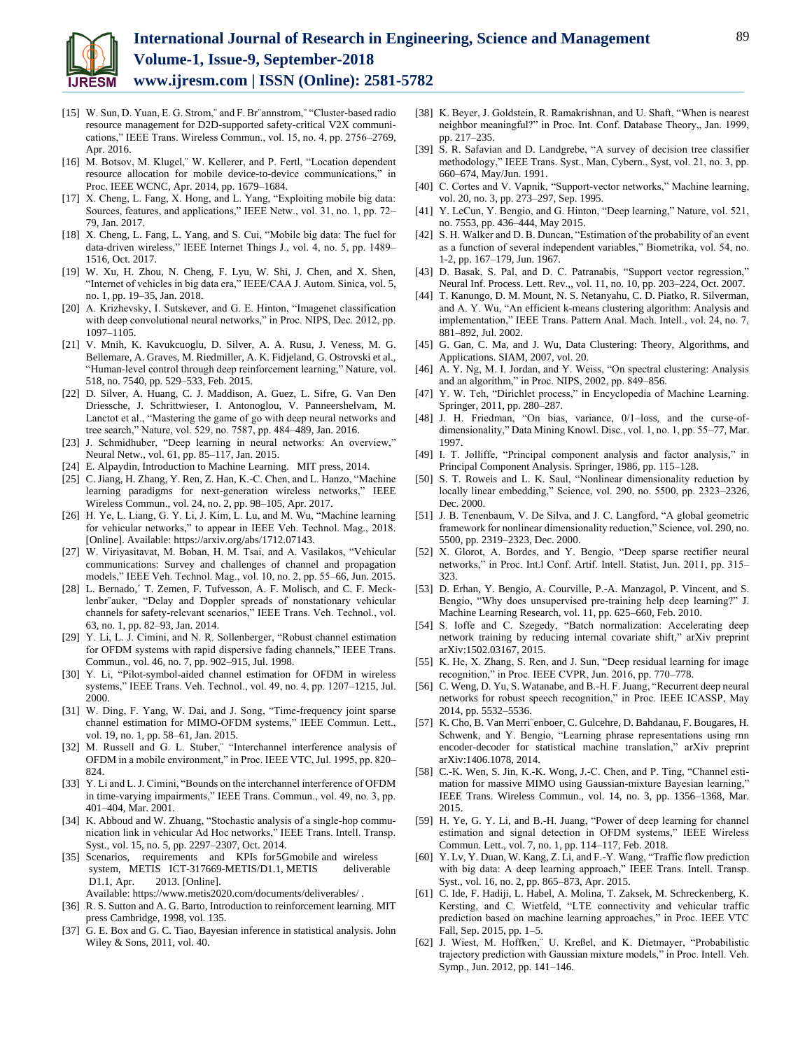

- [15] W. Sun, D. Yuan, E. G. Strom,¨ and F. Br¨annstrom,¨ "Cluster-based radio resource management for D2D-supported safety-critical V2X communications," IEEE Trans. Wireless Commun., vol. 15, no. 4, pp. 2756–2769, Apr. 2016.
- [16] M. Botsov, M. Klugel," W. Kellerer, and P. Fertl, "Location dependent resource allocation for mobile device-to-device communications," in Proc. IEEE WCNC, Apr. 2014, pp. 1679–1684.
- [17] X. Cheng, L. Fang, X. Hong, and L. Yang, "Exploiting mobile big data: Sources, features, and applications," IEEE Netw., vol. 31, no. 1, pp. 72– 79, Jan. 2017.
- [18] X. Cheng, L. Fang, L. Yang, and S. Cui, "Mobile big data: The fuel for data-driven wireless," IEEE Internet Things J., vol. 4, no. 5, pp. 1489– 1516, Oct. 2017.
- [19] W. Xu, H. Zhou, N. Cheng, F. Lyu, W. Shi, J. Chen, and X. Shen, "Internet of vehicles in big data era," IEEE/CAA J. Autom. Sinica, vol. 5, no. 1, pp. 19–35, Jan. 2018.
- [20] A. Krizhevsky, I. Sutskever, and G. E. Hinton, "Imagenet classification with deep convolutional neural networks," in Proc. NIPS, Dec. 2012, pp. 1097–1105.
- [21] V. Mnih, K. Kavukcuoglu, D. Silver, A. A. Rusu, J. Veness, M. G. Bellemare, A. Graves, M. Riedmiller, A. K. Fidjeland, G. Ostrovski et al., "Human-level control through deep reinforcement learning," Nature, vol. 518, no. 7540, pp. 529–533, Feb. 2015.
- [22] D. Silver, A. Huang, C. J. Maddison, A. Guez, L. Sifre, G. Van Den Driessche, J. Schrittwieser, I. Antonoglou, V. Panneershelvam, M. Lanctot et al., "Mastering the game of go with deep neural networks and tree search," Nature, vol. 529, no. 7587, pp. 484–489, Jan. 2016.
- [23] J. Schmidhuber, "Deep learning in neural networks: An overview," Neural Netw., vol. 61, pp. 85–117, Jan. 2015.
- [24] E. Alpaydin, Introduction to Machine Learning. MIT press, 2014.
- [25] C. Jiang, H. Zhang, Y. Ren, Z. Han, K.-C. Chen, and L. Hanzo, "Machine learning paradigms for next-generation wireless networks," IEEE Wireless Commun., vol. 24, no. 2, pp. 98–105, Apr. 2017.
- [26] H. Ye, L. Liang, G. Y. Li, J. Kim, L. Lu, and M. Wu, "Machine learning for vehicular networks," to appear in IEEE Veh. Technol. Mag., 2018. [Online]. Available: https://arxiv.org/abs/1712.07143.
- [27] W. Viriyasitavat, M. Boban, H. M. Tsai, and A. Vasilakos, "Vehicular communications: Survey and challenges of channel and propagation models," IEEE Veh. Technol. Mag., vol. 10, no. 2, pp. 55–66, Jun. 2015.
- [28] L. Bernado,´ T. Zemen, F. Tufvesson, A. F. Molisch, and C. F. Mecklenbr¨auker, "Delay and Doppler spreads of nonstationary vehicular channels for safety-relevant scenarios," IEEE Trans. Veh. Technol., vol. 63, no. 1, pp. 82–93, Jan. 2014.
- [29] Y. Li, L. J. Cimini, and N. R. Sollenberger, "Robust channel estimation for OFDM systems with rapid dispersive fading channels," IEEE Trans. Commun., vol. 46, no. 7, pp. 902–915, Jul. 1998.
- [30] Y. Li, "Pilot-symbol-aided channel estimation for OFDM in wireless systems," IEEE Trans. Veh. Technol., vol. 49, no. 4, pp. 1207–1215, Jul. 2000.
- [31] W. Ding, F. Yang, W. Dai, and J. Song, "Time-frequency joint sparse channel estimation for MIMO-OFDM systems," IEEE Commun. Lett., vol. 19, no. 1, pp. 58–61, Jan. 2015.
- [32] M. Russell and G. L. Stuber," "Interchannel interference analysis of OFDM in a mobile environment," in Proc. IEEE VTC, Jul. 1995, pp. 820– 824.
- [33] Y. Li and L. J. Cimini, "Bounds on the interchannel interference of OFDM in time-varying impairments," IEEE Trans. Commun., vol. 49, no. 3, pp. 401–404, Mar. 2001.
- [34] K. Abboud and W. Zhuang, "Stochastic analysis of a single-hop communication link in vehicular Ad Hoc networks," IEEE Trans. Intell. Transp. Syst., vol. 15, no. 5, pp. 2297–2307, Oct. 2014.
- [35] Scenarios, requirements and KPIs for 5Gmobile and wireless system, METIS ICT-317669-METIS/D1.1, METIS deliverable D1.1, Apr. 2013. [Online]. Available: https://www.metis2020.com/documents/deliverables/ .
- [36] R. S. Sutton and A. G. Barto, Introduction to reinforcement learning. MIT press Cambridge, 1998, vol. 135.
- [37] G. E. Box and G. C. Tiao, Bayesian inference in statistical analysis. John Wiley & Sons, 2011, vol. 40.
- [38] K. Beyer, J. Goldstein, R. Ramakrishnan, and U. Shaft, "When is nearest neighbor meaningful?" in Proc. Int. Conf. Database Theory,, Jan. 1999, pp. 217–235.
- [39] S. R. Safavian and D. Landgrebe, "A survey of decision tree classifier methodology," IEEE Trans. Syst., Man, Cybern., Syst, vol. 21, no. 3, pp. 660–674, May/Jun. 1991.
- [40] C. Cortes and V. Vapnik, "Support-vector networks," Machine learning, vol. 20, no. 3, pp. 273–297, Sep. 1995.
- [41] Y. LeCun, Y. Bengio, and G. Hinton, "Deep learning," Nature, vol. 521, no. 7553, pp. 436–444, May 2015.
- [42] S. H. Walker and D. B. Duncan, "Estimation of the probability of an event as a function of several independent variables," Biometrika, vol. 54, no. 1-2, pp. 167–179, Jun. 1967.
- [43] D. Basak, S. Pal, and D. C. Patranabis, "Support vector regression," Neural Inf. Process. Lett. Rev.,, vol. 11, no. 10, pp. 203–224, Oct. 2007.
- [44] T. Kanungo, D. M. Mount, N. S. Netanyahu, C. D. Piatko, R. Silverman, and A. Y. Wu, "An efficient k-means clustering algorithm: Analysis and implementation," IEEE Trans. Pattern Anal. Mach. Intell., vol. 24, no. 7, 881–892, Jul. 2002.
- [45] G. Gan, C. Ma, and J. Wu, Data Clustering: Theory, Algorithms, and Applications. SIAM, 2007, vol. 20.
- [46] A. Y. Ng, M. I. Jordan, and Y. Weiss, "On spectral clustering: Analysis and an algorithm," in Proc. NIPS, 2002, pp. 849–856.
- [47] Y. W. Teh, "Dirichlet process," in Encyclopedia of Machine Learning. Springer, 2011, pp. 280–287.
- [48] J. H. Friedman, "On bias, variance, 0/1–loss, and the curse-ofdimensionality," Data Mining Knowl. Disc., vol. 1, no. 1, pp. 55–77, Mar. 1997.
- [49] I. T. Jolliffe, "Principal component analysis and factor analysis," in Principal Component Analysis. Springer, 1986, pp. 115–128.
- [50] S. T. Roweis and L. K. Saul, "Nonlinear dimensionality reduction by locally linear embedding," Science, vol. 290, no. 5500, pp. 2323–2326, Dec. 2000.
- [51] J. B. Tenenbaum, V. De Silva, and J. C. Langford, "A global geometric framework for nonlinear dimensionality reduction," Science, vol. 290, no. 5500, pp. 2319–2323, Dec. 2000.
- [52] X. Glorot, A. Bordes, and Y. Bengio, "Deep sparse rectifier neural networks," in Proc. Int.l Conf. Artif. Intell. Statist, Jun. 2011, pp. 315– 323.
- [53] D. Erhan, Y. Bengio, A. Courville, P.-A. Manzagol, P. Vincent, and S. Bengio, "Why does unsupervised pre-training help deep learning?" J. Machine Learning Research, vol. 11, pp. 625–660, Feb. 2010.
- [54] S. Ioffe and C. Szegedy, "Batch normalization: Accelerating deep network training by reducing internal covariate shift," arXiv preprint arXiv:1502.03167, 2015.
- [55] K. He, X. Zhang, S. Ren, and J. Sun, "Deep residual learning for image recognition," in Proc. IEEE CVPR, Jun. 2016, pp. 770–778.
- [56] C. Weng, D. Yu, S. Watanabe, and B.-H. F. Juang, "Recurrent deep neural networks for robust speech recognition," in Proc. IEEE ICASSP, May 2014, pp. 5532–5536.
- [57] K. Cho, B. Van Merri¨enboer, C. Gulcehre, D. Bahdanau, F. Bougares, H. Schwenk, and Y. Bengio, "Learning phrase representations using rnn encoder-decoder for statistical machine translation," arXiv preprint arXiv:1406.1078, 2014.
- [58] C.-K. Wen, S. Jin, K.-K. Wong, J.-C. Chen, and P. Ting, "Channel estimation for massive MIMO using Gaussian-mixture Bayesian learning," IEEE Trans. Wireless Commun., vol. 14, no. 3, pp. 1356–1368, Mar. 2015.
- [59] H. Ye, G. Y. Li, and B.-H. Juang, "Power of deep learning for channel estimation and signal detection in OFDM systems," IEEE Wireless Commun. Lett., vol. 7, no. 1, pp. 114–117, Feb. 2018.
- [60] Y. Lv, Y. Duan, W. Kang, Z. Li, and F.-Y. Wang, "Traffic flow prediction with big data: A deep learning approach," IEEE Trans. Intell. Transp. Syst., vol. 16, no. 2, pp. 865–873, Apr. 2015.
- [61] C. Ide, F. Hadiji, L. Habel, A. Molina, T. Zaksek, M. Schreckenberg, K. Kersting, and C. Wietfeld, "LTE connectivity and vehicular traffic prediction based on machine learning approaches," in Proc. IEEE VTC Fall, Sep. 2015, pp. 1–5.
- [62] J. Wiest, M. Hoffken,¨ U. Kreßel, and K. Dietmayer, "Probabilistic trajectory prediction with Gaussian mixture models," in Proc. Intell. Veh. Symp., Jun. 2012, pp. 141–146.